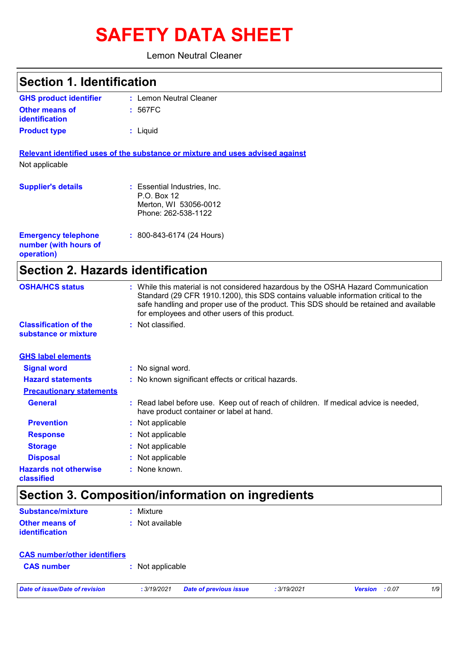# **SAFETY DATA SHEET**

Lemon Neutral Cleaner

| <b>Section 1. Identification</b>                                  |                                                                                                                                                                                                                                                                                                                       |  |
|-------------------------------------------------------------------|-----------------------------------------------------------------------------------------------------------------------------------------------------------------------------------------------------------------------------------------------------------------------------------------------------------------------|--|
| <b>GHS product identifier</b>                                     | : Lemon Neutral Cleaner                                                                                                                                                                                                                                                                                               |  |
| Other means of<br><b>identification</b>                           | : 567FC                                                                                                                                                                                                                                                                                                               |  |
| <b>Product type</b>                                               | : Liquid                                                                                                                                                                                                                                                                                                              |  |
| Not applicable                                                    | Relevant identified uses of the substance or mixture and uses advised against                                                                                                                                                                                                                                         |  |
| <b>Supplier's details</b>                                         | : Essential Industries, Inc.<br>P.O. Box 12<br>Merton, WI 53056-0012<br>Phone: 262-538-1122                                                                                                                                                                                                                           |  |
| <b>Emergency telephone</b><br>number (with hours of<br>operation) | $: 800 - 843 - 6174 (24$ Hours)                                                                                                                                                                                                                                                                                       |  |
| <b>Section 2. Hazards identification</b>                          |                                                                                                                                                                                                                                                                                                                       |  |
| <b>OSHA/HCS status</b>                                            | : While this material is not considered hazardous by the OSHA Hazard Communication<br>Standard (29 CFR 1910.1200), this SDS contains valuable information critical to the<br>safe handling and proper use of the product. This SDS should be retained and available<br>for employees and other users of this product. |  |
| <b>Classification of the</b><br>substance or mixture              | : Not classified.                                                                                                                                                                                                                                                                                                     |  |
| <b>GHS label elements</b>                                         |                                                                                                                                                                                                                                                                                                                       |  |
| <b>Signal word</b>                                                | : No signal word.                                                                                                                                                                                                                                                                                                     |  |
| <b>Hazard statements</b>                                          | : No known significant effects or critical hazards.                                                                                                                                                                                                                                                                   |  |
| <b>Precautionary statements</b>                                   |                                                                                                                                                                                                                                                                                                                       |  |
| <b>General</b>                                                    | : Read label before use. Keep out of reach of children. If medical advice is needed,<br>have product container or label at hand.                                                                                                                                                                                      |  |
| <b>Prevention</b>                                                 | : Not applicable                                                                                                                                                                                                                                                                                                      |  |
| <b>Response</b>                                                   | Not applicable                                                                                                                                                                                                                                                                                                        |  |
| <b>Storage</b>                                                    | : Not applicable                                                                                                                                                                                                                                                                                                      |  |

**Disposal :** Not applicable

#### **Hazards not otherwise :** None known.

#### **classified**

## **Section 3. Composition/information on ingredients**

| Substance/mixture                       | : Mixture       |
|-----------------------------------------|-----------------|
| Other means of<br><b>identification</b> | : Not available |

|                                | <b>CAS number/other identifiers</b>          |             |                         |     |
|--------------------------------|----------------------------------------------|-------------|-------------------------|-----|
| <b>CAS number</b>              | : Not applicable                             |             |                         |     |
| Date of issue/Date of revision | Date of previous issue<br><b>:</b> 3/19/2021 | : 3/19/2021 | :0.07<br><b>Version</b> | 1/9 |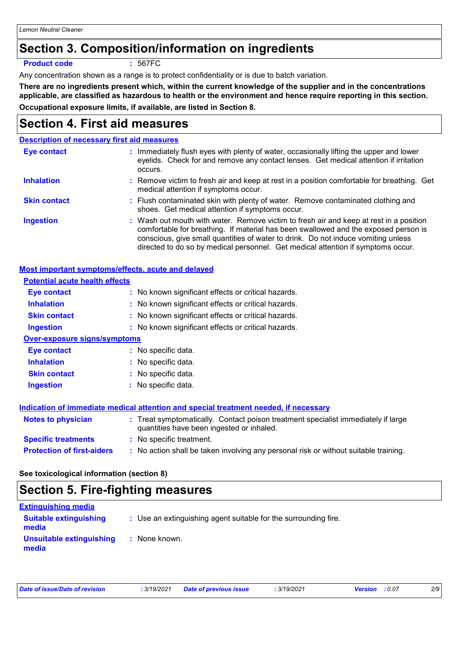### **Section 3. Composition/information on ingredients**

**Product code :** 567FC

Any concentration shown as a range is to protect confidentiality or is due to batch variation.

**There are no ingredients present which, within the current knowledge of the supplier and in the concentrations applicable, are classified as hazardous to health or the environment and hence require reporting in this section. Occupational exposure limits, if available, are listed in Section 8.**

### **Section 4. First aid measures**

#### **Description of necessary first aid measures**

| Eye contact         | : Immediately flush eyes with plenty of water, occasionally lifting the upper and lower<br>eyelids. Check for and remove any contact lenses. Get medical attention if irritation<br>occurs.                                                                                                                                                            |
|---------------------|--------------------------------------------------------------------------------------------------------------------------------------------------------------------------------------------------------------------------------------------------------------------------------------------------------------------------------------------------------|
| <b>Inhalation</b>   | : Remove victim to fresh air and keep at rest in a position comfortable for breathing. Get<br>medical attention if symptoms occur.                                                                                                                                                                                                                     |
| <b>Skin contact</b> | : Flush contaminated skin with plenty of water. Remove contaminated clothing and<br>shoes. Get medical attention if symptoms occur.                                                                                                                                                                                                                    |
| <b>Ingestion</b>    | : Wash out mouth with water. Remove victim to fresh air and keep at rest in a position<br>comfortable for breathing. If material has been swallowed and the exposed person is<br>conscious, give small quantities of water to drink. Do not induce vomiting unless<br>directed to do so by medical personnel. Get medical attention if symptoms occur. |

#### **Most important symptoms/effects, acute and delayed**

| <b>Potential acute health effects</b> |                                                                                                                                |
|---------------------------------------|--------------------------------------------------------------------------------------------------------------------------------|
| Eye contact                           | : No known significant effects or critical hazards.                                                                            |
| <b>Inhalation</b>                     | : No known significant effects or critical hazards.                                                                            |
| <b>Skin contact</b>                   | : No known significant effects or critical hazards.                                                                            |
| <b>Ingestion</b>                      | : No known significant effects or critical hazards.                                                                            |
| <b>Over-exposure signs/symptoms</b>   |                                                                                                                                |
| <b>Eye contact</b>                    | : No specific data.                                                                                                            |
| <b>Inhalation</b>                     | : No specific data.                                                                                                            |
| <b>Skin contact</b>                   | : No specific data.                                                                                                            |
| <b>Ingestion</b>                      | No specific data.                                                                                                              |
|                                       |                                                                                                                                |
|                                       | Indication of immediate medical attention and special treatment needed, if necessary                                           |
| <b>Notes to physician</b>             | : Treat symptomatically. Contact poison treatment specialist immediately if large<br>quantities have been ingested or inhaled. |
| <b>Specific treatments</b>            | : No specific treatment.                                                                                                       |
| <b>Protection of first-aiders</b>     | : No action shall be taken involving any personal risk or without suitable training.                                           |
|                                       |                                                                                                                                |

**See toxicological information (section 8)**

### **Section 5. Fire-fighting measures**

| <b>Extinguishing media</b>             |                                                                 |
|----------------------------------------|-----------------------------------------------------------------|
| <b>Suitable extinguishing</b><br>media | : Use an extinguishing agent suitable for the surrounding fire. |
| Unsuitable extinguishing<br>media      | : None known.                                                   |

| Date of issue/Date of revision |  |
|--------------------------------|--|
|--------------------------------|--|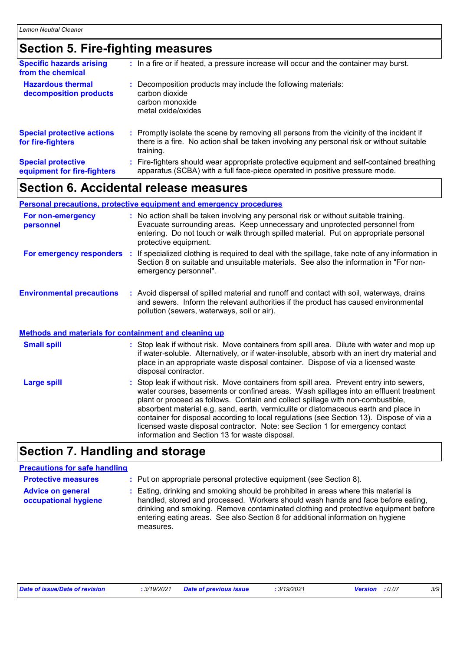### **Section 5. Fire-fighting measures**

| <b>Specific hazards arising</b><br>from the chemical     | : In a fire or if heated, a pressure increase will occur and the container may burst.                                                                                                               |
|----------------------------------------------------------|-----------------------------------------------------------------------------------------------------------------------------------------------------------------------------------------------------|
| <b>Hazardous thermal</b><br>decomposition products       | Decomposition products may include the following materials:<br>carbon dioxide<br>carbon monoxide<br>metal oxide/oxides                                                                              |
| <b>Special protective actions</b><br>for fire-fighters   | : Promptly isolate the scene by removing all persons from the vicinity of the incident if<br>there is a fire. No action shall be taken involving any personal risk or without suitable<br>training. |
| <b>Special protective</b><br>equipment for fire-fighters | : Fire-fighters should wear appropriate protective equipment and self-contained breathing<br>apparatus (SCBA) with a full face-piece operated in positive pressure mode.                            |

### **Section 6. Accidental release measures**

#### **Personal precautions, protective equipment and emergency procedures**

| For non-emergency<br>personnel                               | : No action shall be taken involving any personal risk or without suitable training.<br>Evacuate surrounding areas. Keep unnecessary and unprotected personnel from<br>entering. Do not touch or walk through spilled material. Put on appropriate personal<br>protective equipment. |
|--------------------------------------------------------------|--------------------------------------------------------------------------------------------------------------------------------------------------------------------------------------------------------------------------------------------------------------------------------------|
| For emergency responders                                     | : If specialized clothing is required to deal with the spillage, take note of any information in<br>Section 8 on suitable and unsuitable materials. See also the information in "For non-<br>emergency personnel".                                                                   |
| <b>Environmental precautions</b>                             | : Avoid dispersal of spilled material and runoff and contact with soil, waterways, drains<br>and sewers. Inform the relevant authorities if the product has caused environmental<br>pollution (sewers, waterways, soil or air).                                                      |
| <u>Methods and materials for containment and cleaning up</u> |                                                                                                                                                                                                                                                                                      |
| <b>Small spill</b>                                           | : Stop leak if without risk. Move containers from spill area. Dilute with water and mop up                                                                                                                                                                                           |

| <b>Small spill</b> | : Stop leak if without risk. Move containers from spill area. Dilute with water and mop up<br>if water-soluble. Alternatively, or if water-insoluble, absorb with an inert dry material and<br>place in an appropriate waste disposal container. Dispose of via a licensed waste<br>disposal contractor.                                                                                                                                                                                                                                                                                   |
|--------------------|--------------------------------------------------------------------------------------------------------------------------------------------------------------------------------------------------------------------------------------------------------------------------------------------------------------------------------------------------------------------------------------------------------------------------------------------------------------------------------------------------------------------------------------------------------------------------------------------|
| <b>Large spill</b> | : Stop leak if without risk. Move containers from spill area. Prevent entry into sewers,<br>water courses, basements or confined areas. Wash spillages into an effluent treatment<br>plant or proceed as follows. Contain and collect spillage with non-combustible,<br>absorbent material e.g. sand, earth, vermiculite or diatomaceous earth and place in<br>container for disposal according to local regulations (see Section 13). Dispose of via a<br>licensed waste disposal contractor. Note: see Section 1 for emergency contact<br>information and Section 13 for waste disposal. |

### **Section 7. Handling and storage**

#### **Precautions for safe handling**

| <b>Protective measures</b>                       | : Put on appropriate personal protective equipment (see Section 8).                                                                                                                                                                                                                                                                                           |
|--------------------------------------------------|---------------------------------------------------------------------------------------------------------------------------------------------------------------------------------------------------------------------------------------------------------------------------------------------------------------------------------------------------------------|
| <b>Advice on general</b><br>occupational hygiene | : Eating, drinking and smoking should be prohibited in areas where this material is<br>handled, stored and processed. Workers should wash hands and face before eating,<br>drinking and smoking. Remove contaminated clothing and protective equipment before<br>entering eating areas. See also Section 8 for additional information on hygiene<br>measures. |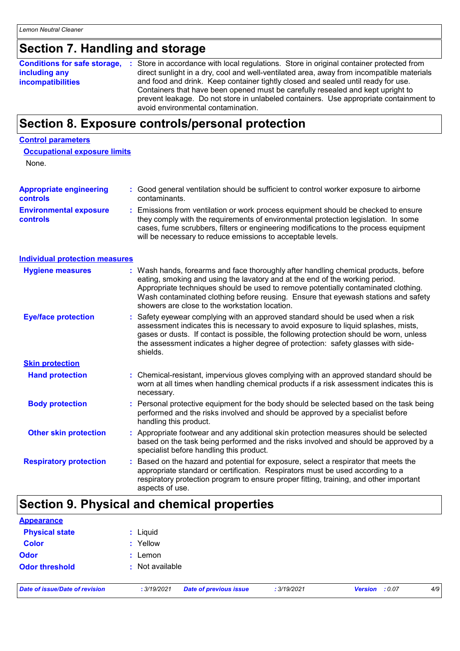## **Section 7. Handling and storage**

| <b>Conditions for safe storage,</b> | : Store in accordance with local regulations. Store in original container protected from  |
|-------------------------------------|-------------------------------------------------------------------------------------------|
| including any                       | direct sunlight in a dry, cool and well-ventilated area, away from incompatible materials |
| <b>incompatibilities</b>            | and food and drink. Keep container tightly closed and sealed until ready for use.         |
|                                     | Containers that have been opened must be carefully resealed and kept upright to           |
|                                     | prevent leakage. Do not store in unlabeled containers. Use appropriate containment to     |
|                                     | avoid environmental contamination.                                                        |

### **Section 8. Exposure controls/personal protection**

#### **Control parameters**

| <b>Occupational exposure limits</b> |
|-------------------------------------|
|-------------------------------------|

None.

| <b>Appropriate engineering</b>                   | : Good general ventilation should be sufficient to control worker exposure to airborne                                                                                                                                                                                                                                          |
|--------------------------------------------------|---------------------------------------------------------------------------------------------------------------------------------------------------------------------------------------------------------------------------------------------------------------------------------------------------------------------------------|
| <b>controls</b>                                  | contaminants.                                                                                                                                                                                                                                                                                                                   |
| <b>Environmental exposure</b><br><b>controls</b> | : Emissions from ventilation or work process equipment should be checked to ensure<br>they comply with the requirements of environmental protection legislation. In some<br>cases, fume scrubbers, filters or engineering modifications to the process equipment<br>will be necessary to reduce emissions to acceptable levels. |

**Individual protection measures**

| <b>Hygiene measures</b>       | : Wash hands, forearms and face thoroughly after handling chemical products, before<br>eating, smoking and using the lavatory and at the end of the working period.<br>Appropriate techniques should be used to remove potentially contaminated clothing.<br>Wash contaminated clothing before reusing. Ensure that eyewash stations and safety<br>showers are close to the workstation location. |
|-------------------------------|---------------------------------------------------------------------------------------------------------------------------------------------------------------------------------------------------------------------------------------------------------------------------------------------------------------------------------------------------------------------------------------------------|
| <b>Eye/face protection</b>    | : Safety eyewear complying with an approved standard should be used when a risk<br>assessment indicates this is necessary to avoid exposure to liquid splashes, mists,<br>gases or dusts. If contact is possible, the following protection should be worn, unless<br>the assessment indicates a higher degree of protection: safety glasses with side-<br>shields.                                |
| <b>Skin protection</b>        |                                                                                                                                                                                                                                                                                                                                                                                                   |
| <b>Hand protection</b>        | : Chemical-resistant, impervious gloves complying with an approved standard should be<br>worn at all times when handling chemical products if a risk assessment indicates this is<br>necessary.                                                                                                                                                                                                   |
| <b>Body protection</b>        | : Personal protective equipment for the body should be selected based on the task being<br>performed and the risks involved and should be approved by a specialist before<br>handling this product.                                                                                                                                                                                               |
| <b>Other skin protection</b>  | : Appropriate footwear and any additional skin protection measures should be selected<br>based on the task being performed and the risks involved and should be approved by a<br>specialist before handling this product.                                                                                                                                                                         |
| <b>Respiratory protection</b> | : Based on the hazard and potential for exposure, select a respirator that meets the<br>appropriate standard or certification. Respirators must be used according to a<br>respiratory protection program to ensure proper fitting, training, and other important<br>aspects of use.                                                                                                               |

### **Section 9. Physical and chemical properties**

| <b>Appearance</b>              |                                              |            |                       |     |
|--------------------------------|----------------------------------------------|------------|-----------------------|-----|
| <b>Physical state</b>          | : Liquid                                     |            |                       |     |
| <b>Color</b>                   | : Yellow                                     |            |                       |     |
| <b>Odor</b>                    | $:$ Lemon                                    |            |                       |     |
| <b>Odor threshold</b>          | : Not available                              |            |                       |     |
| Date of issue/Date of revision | <b>Date of previous issue</b><br>: 3/19/2021 | :3/19/2021 | <b>Version</b> : 0.07 | 4/9 |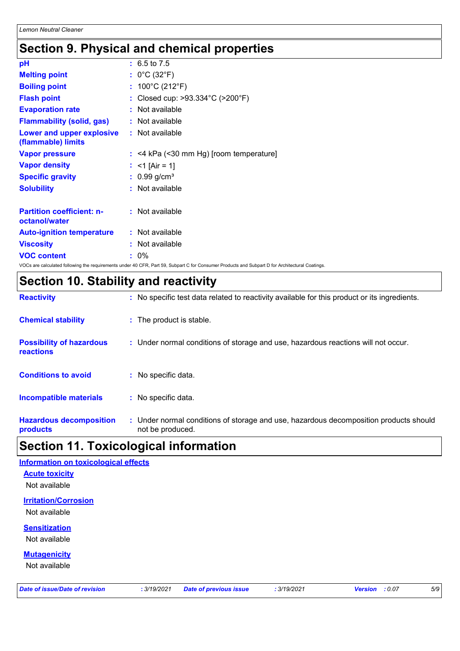### **Section 9. Physical and chemical properties**

| pH                                                     | $: 6.5 \text{ to } 7.5$                   |
|--------------------------------------------------------|-------------------------------------------|
| <b>Melting point</b>                                   | : $0^{\circ}$ C (32 $^{\circ}$ F)         |
| <b>Boiling point</b>                                   | : $100^{\circ}$ C (212 $^{\circ}$ F)      |
| <b>Flash point</b>                                     | Closed cup: >93.334°C (>200°F)            |
| <b>Evaporation rate</b>                                | : Not available                           |
| <b>Flammability (solid, gas)</b>                       | : Not available                           |
| <b>Lower and upper explosive</b><br>(flammable) limits | : Not available                           |
| <b>Vapor pressure</b>                                  | $:$ <4 kPa (<30 mm Hg) [room temperature] |
| <b>Vapor density</b>                                   | : <1 [Air = 1]                            |
| <b>Specific gravity</b>                                | $: 0.99$ g/cm <sup>3</sup>                |
| <b>Solubility</b>                                      | : Not available                           |
|                                                        |                                           |
| <b>Partition coefficient: n-</b><br>octanol/water      | : Not available                           |
| <b>Auto-ignition temperature</b>                       | : Not available                           |
| <b>Viscosity</b>                                       | $:$ Not available                         |
| <b>VOC content</b>                                     | $: 0\%$                                   |
|                                                        |                                           |

VOCs are calculated following the requirements under 40 CFR, Part 59, Subpart C for Consumer Products and Subpart D for Architectural Coatings.

### **Section 10. Stability and reactivity**

| <b>Reactivity</b>                                   | : No specific test data related to reactivity available for this product or its ingredients.              |
|-----------------------------------------------------|-----------------------------------------------------------------------------------------------------------|
| <b>Chemical stability</b>                           | : The product is stable.                                                                                  |
| <b>Possibility of hazardous</b><br><b>reactions</b> | : Under normal conditions of storage and use, hazardous reactions will not occur.                         |
| <b>Conditions to avoid</b>                          | : No specific data.                                                                                       |
| <b>Incompatible materials</b>                       | : No specific data.                                                                                       |
| <b>Hazardous decomposition</b><br>products          | : Under normal conditions of storage and use, hazardous decomposition products should<br>not be produced. |

### **Section 11. Toxicological information**

| <b>Information on toxicological effects</b>  |             |                               |             |                          |     |
|----------------------------------------------|-------------|-------------------------------|-------------|--------------------------|-----|
| <b>Acute toxicity</b><br>Not available       |             |                               |             |                          |     |
| <b>Irritation/Corrosion</b><br>Not available |             |                               |             |                          |     |
| <b>Sensitization</b><br>Not available        |             |                               |             |                          |     |
| <b>Mutagenicity</b><br>Not available         |             |                               |             |                          |     |
| <b>Date of issue/Date of revision</b>        | : 3/19/2021 | <b>Date of previous issue</b> | : 3/19/2021 | <b>Version</b><br>: 0.07 | 5/9 |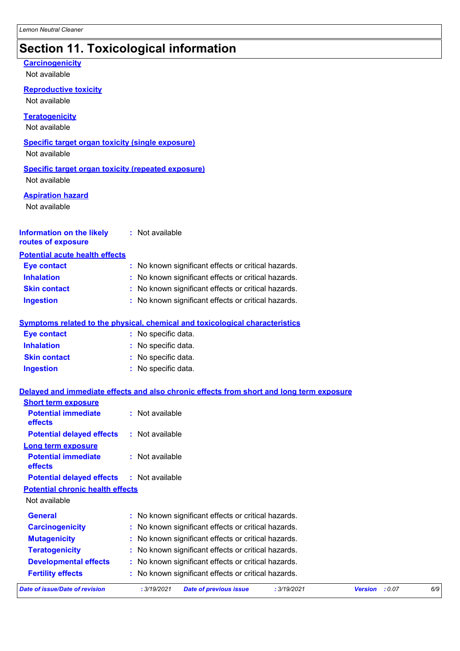### **Section 11. Toxicological information**

### **Carcinogenicity**

Not available

**Reproductive toxicity**

Not available

**Teratogenicity**

Not available

#### **Specific target organ toxicity (single exposure)**

Not available

### **Specific target organ toxicity (repeated exposure)**

Not available

#### **Aspiration hazard**

Not available

#### **Information on the likely :** Not available **routes of exposure**

#### **Potential acute health effects**

| <b>Eye contact</b>  | : No known significant effects or critical hazards. |
|---------------------|-----------------------------------------------------|
| <b>Inhalation</b>   | : No known significant effects or critical hazards. |
| <b>Skin contact</b> | : No known significant effects or critical hazards. |
| <b>Ingestion</b>    | : No known significant effects or critical hazards. |

#### **Symptoms related to the physical, chemical and toxicological characteristics**

| <b>Eye contact</b>  | : No specific data. |
|---------------------|---------------------|
| <b>Inhalation</b>   | : No specific data. |
| <b>Skin contact</b> | : No specific data. |
| Ingestion           | : No specific data. |

#### **Delayed and immediate effects and also chronic effects from short and long term exposure**

| <b>Short term exposure</b>              |                 |                                                     |             |                          |     |
|-----------------------------------------|-----------------|-----------------------------------------------------|-------------|--------------------------|-----|
| <b>Potential immediate</b><br>effects   | : Not available |                                                     |             |                          |     |
| <b>Potential delayed effects</b>        | : Not available |                                                     |             |                          |     |
| <b>Long term exposure</b>               |                 |                                                     |             |                          |     |
| <b>Potential immediate</b><br>effects   | : Not available |                                                     |             |                          |     |
| <b>Potential delayed effects</b>        | : Not available |                                                     |             |                          |     |
| <b>Potential chronic health effects</b> |                 |                                                     |             |                          |     |
| Not available                           |                 |                                                     |             |                          |     |
| <b>General</b>                          |                 | : No known significant effects or critical hazards. |             |                          |     |
| <b>Carcinogenicity</b>                  |                 | : No known significant effects or critical hazards. |             |                          |     |
| <b>Mutagenicity</b>                     |                 | : No known significant effects or critical hazards. |             |                          |     |
| <b>Teratogenicity</b>                   |                 | : No known significant effects or critical hazards. |             |                          |     |
| <b>Developmental effects</b>            |                 | : No known significant effects or critical hazards. |             |                          |     |
| <b>Fertility effects</b>                |                 | : No known significant effects or critical hazards. |             |                          |     |
| Date of issue/Date of revision          | : 3/19/2021     | <b>Date of previous issue</b>                       | : 3/19/2021 | <b>Version</b><br>: 0.07 | 6/9 |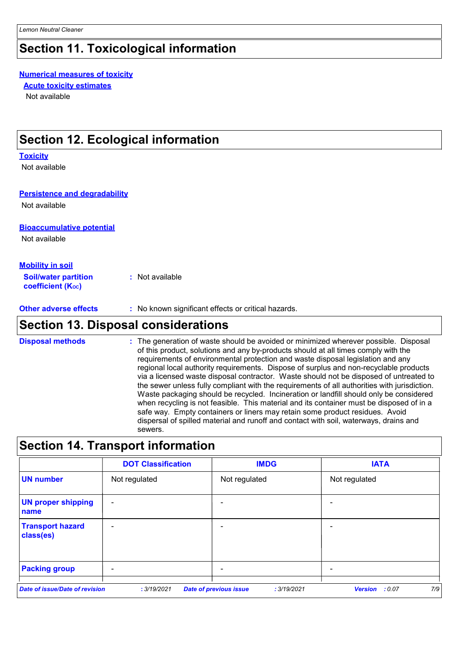### **Section 11. Toxicological information**

#### **Numerical measures of toxicity**

**Acute toxicity estimates**

Not available

### **Section 12. Ecological information**

#### **Toxicity**

Not available

#### **Persistence and degradability**

Not available

#### **Bioaccumulative potential**

Not available

#### **Mobility in soil**

**Soil/water partition coefficient (Koc) :** Not available

**Other adverse effects** : No known significant effects or critical hazards.

### **Section 13. Disposal considerations**

The generation of waste should be avoided or minimized wherever possible. Disposal of this product, solutions and any by-products should at all times comply with the requirements of environmental protection and waste disposal legislation and any regional local authority requirements. Dispose of surplus and non-recyclable products via a licensed waste disposal contractor. Waste should not be disposed of untreated to the sewer unless fully compliant with the requirements of all authorities with jurisdiction. Waste packaging should be recycled. Incineration or landfill should only be considered when recycling is not feasible. This material and its container must be disposed of in a safe way. Empty containers or liners may retain some product residues. Avoid dispersal of spilled material and runoff and contact with soil, waterways, drains and sewers. **Disposal methods :**

### **Section 14. Transport information**

|                                       | <b>DOT Classification</b> | <b>IMDG</b>                                  | <b>IATA</b>                     |
|---------------------------------------|---------------------------|----------------------------------------------|---------------------------------|
| <b>UN number</b>                      | Not regulated             | Not regulated                                | Not regulated                   |
| <b>UN proper shipping</b><br>name     | $\overline{\phantom{a}}$  |                                              | -                               |
| <b>Transport hazard</b><br>class(es)  | $\overline{\phantom{a}}$  | -                                            |                                 |
| <b>Packing group</b>                  | $\overline{\phantom{0}}$  |                                              |                                 |
| <b>Date of issue/Date of revision</b> | : 3/19/2021               | <b>Date of previous issue</b><br>: 3/19/2021 | 7/9<br><b>Version</b><br>: 0.07 |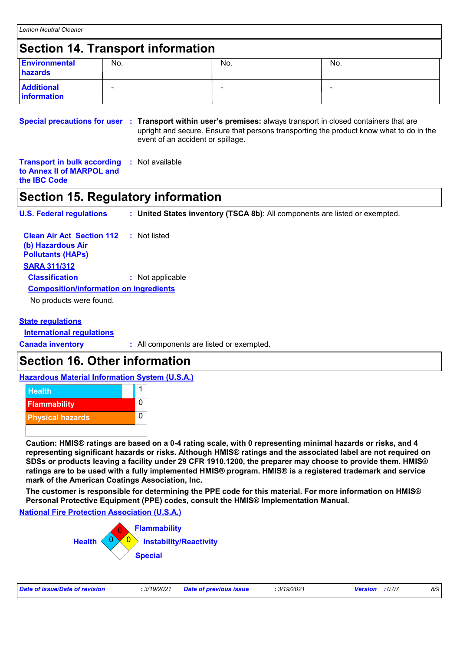### **Section 14. Transport information**

| Environmental<br>hazards         | No.                      | No. | No.                      |
|----------------------------------|--------------------------|-----|--------------------------|
| <b>Additional</b><br>information | $\overline{\phantom{0}}$ |     | $\overline{\phantom{0}}$ |

**Special precautions for user Transport within user's premises:** always transport in closed containers that are **:** upright and secure. Ensure that persons transporting the product know what to do in the event of an accident or spillage.

**Transport in bulk according :** Not available **to Annex II of MARPOL and the IBC Code**

### **Section 15. Regulatory information**

**U.S. Federal regulations : United States inventory (TSCA 8b)**: All components are listed or exempted.

| <b>Clean Air Act Section 112 : Not listed</b><br>(b) Hazardous Air<br><b>Pollutants (HAPs)</b> |                  |
|------------------------------------------------------------------------------------------------|------------------|
| <b>SARA 311/312</b>                                                                            |                  |
| <b>Classification</b>                                                                          | : Not applicable |
| <b>Composition/information on ingredients</b>                                                  |                  |
| No products were found.                                                                        |                  |

#### **State regulations**

**International regulations**

**Canada inventory :** All components are listed or exempted.

### **Section 16. Other information**

#### **Hazardous Material Information System (U.S.A.)**



**Caution: HMIS® ratings are based on a 0-4 rating scale, with 0 representing minimal hazards or risks, and 4 representing significant hazards or risks. Although HMIS® ratings and the associated label are not required on SDSs or products leaving a facility under 29 CFR 1910.1200, the preparer may choose to provide them. HMIS® ratings are to be used with a fully implemented HMIS® program. HMIS® is a registered trademark and service mark of the American Coatings Association, Inc.**

**The customer is responsible for determining the PPE code for this material. For more information on HMIS® Personal Protective Equipment (PPE) codes, consult the HMIS® Implementation Manual.**

#### **National Fire Protection Association (U.S.A.)**